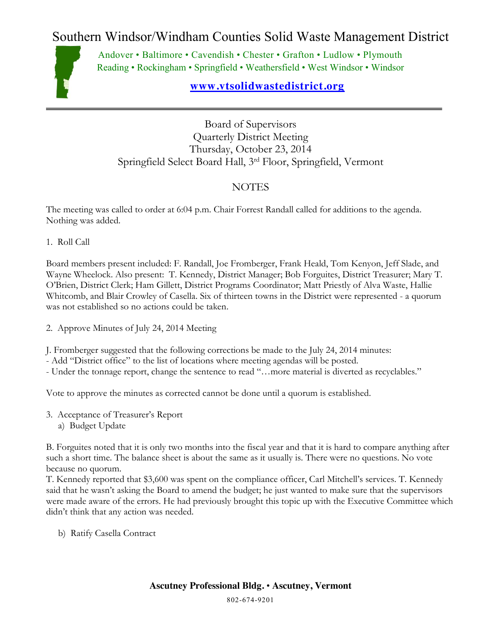Southern Windsor/Windham Counties Solid Waste Management District



Andover • Baltimore • Cavendish • Chester • Grafton • Ludlow • Plymouth Reading • Rockingham • Springfield • Weathersfield • West Windsor • Windsor

## **[www.vtsolidwastedistrict.org](http://www.vtsolidwastedistrict.org/)**

Board of Supervisors Quarterly District Meeting Thursday, October 23, 2014 Springfield Select Board Hall, 3rd Floor, Springfield, Vermont

## NOTES

The meeting was called to order at 6:04 p.m. Chair Forrest Randall called for additions to the agenda. Nothing was added.

1. Roll Call

Board members present included: F. Randall, Joe Fromberger, Frank Heald, Tom Kenyon, Jeff Slade, and Wayne Wheelock. Also present: T. Kennedy, District Manager; Bob Forguites, District Treasurer; Mary T. O'Brien, District Clerk; Ham Gillett, District Programs Coordinator; Matt Priestly of Alva Waste, Hallie Whitcomb, and Blair Crowley of Casella. Six of thirteen towns in the District were represented - a quorum was not established so no actions could be taken.

2. Approve Minutes of July 24, 2014 Meeting

J. Fromberger suggested that the following corrections be made to the July 24, 2014 minutes:

- Add "District office" to the list of locations where meeting agendas will be posted.

- Under the tonnage report, change the sentence to read "…more material is diverted as recyclables."

Vote to approve the minutes as corrected cannot be done until a quorum is established.

- 3. Acceptance of Treasurer's Report
	- a) Budget Update

B. Forguites noted that it is only two months into the fiscal year and that it is hard to compare anything after such a short time. The balance sheet is about the same as it usually is. There were no questions. No vote because no quorum.

T. Kennedy reported that \$3,600 was spent on the compliance officer, Carl Mitchell's services. T. Kennedy said that he wasn't asking the Board to amend the budget; he just wanted to make sure that the supervisors were made aware of the errors. He had previously brought this topic up with the Executive Committee which didn't think that any action was needed.

b) Ratify Casella Contract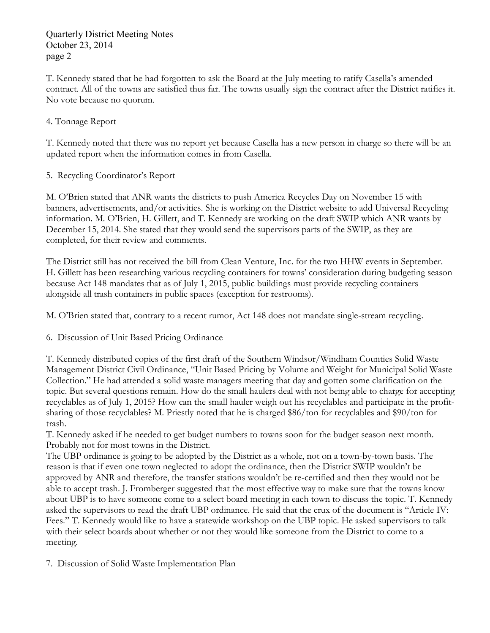Quarterly District Meeting Notes October 23, 2014 page 2

T. Kennedy stated that he had forgotten to ask the Board at the July meeting to ratify Casella's amended contract. All of the towns are satisfied thus far. The towns usually sign the contract after the District ratifies it. No vote because no quorum.

#### 4. Tonnage Report

T. Kennedy noted that there was no report yet because Casella has a new person in charge so there will be an updated report when the information comes in from Casella.

5. Recycling Coordinator's Report

M. O'Brien stated that ANR wants the districts to push America Recycles Day on November 15 with banners, advertisements, and/or activities. She is working on the District website to add Universal Recycling information. M. O'Brien, H. Gillett, and T. Kennedy are working on the draft SWIP which ANR wants by December 15, 2014. She stated that they would send the supervisors parts of the SWIP, as they are completed, for their review and comments.

The District still has not received the bill from Clean Venture, Inc. for the two HHW events in September. H. Gillett has been researching various recycling containers for towns' consideration during budgeting season because Act 148 mandates that as of July 1, 2015, public buildings must provide recycling containers alongside all trash containers in public spaces (exception for restrooms).

M. O'Brien stated that, contrary to a recent rumor, Act 148 does not mandate single-stream recycling.

6. Discussion of Unit Based Pricing Ordinance

T. Kennedy distributed copies of the first draft of the Southern Windsor/Windham Counties Solid Waste Management District Civil Ordinance, "Unit Based Pricing by Volume and Weight for Municipal Solid Waste Collection." He had attended a solid waste managers meeting that day and gotten some clarification on the topic. But several questions remain. How do the small haulers deal with not being able to charge for accepting recyclables as of July 1, 2015? How can the small hauler weigh out his recyclables and participate in the profitsharing of those recyclables? M. Priestly noted that he is charged \$86/ton for recyclables and \$90/ton for trash.

T. Kennedy asked if he needed to get budget numbers to towns soon for the budget season next month. Probably not for most towns in the District.

The UBP ordinance is going to be adopted by the District as a whole, not on a town-by-town basis. The reason is that if even one town neglected to adopt the ordinance, then the District SWIP wouldn't be approved by ANR and therefore, the transfer stations wouldn't be re-certified and then they would not be able to accept trash. J. Fromberger suggested that the most effective way to make sure that the towns know about UBP is to have someone come to a select board meeting in each town to discuss the topic. T. Kennedy asked the supervisors to read the draft UBP ordinance. He said that the crux of the document is "Article IV: Fees." T. Kennedy would like to have a statewide workshop on the UBP topic. He asked supervisors to talk with their select boards about whether or not they would like someone from the District to come to a meeting.

7. Discussion of Solid Waste Implementation Plan